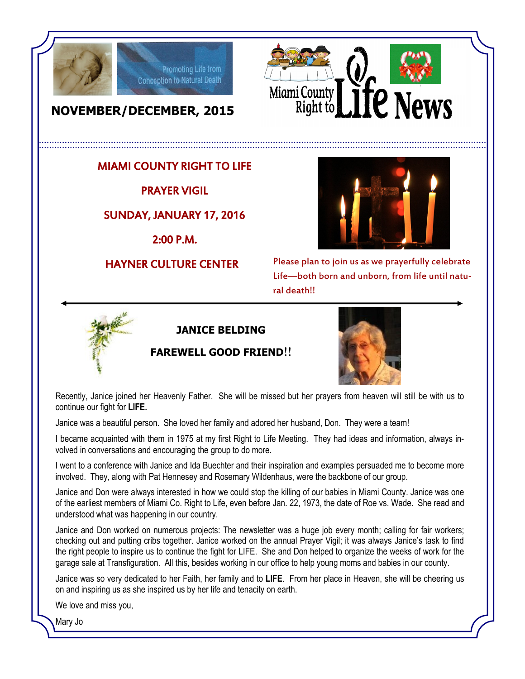



# **NOVEMBER/DECEMBER, 2015**

### MIAMI COUNTY RIGHT TO LIFE

Promoting Life from Conception to Natural Death

PRAYER VIGIL

#### SUNDAY, JANUARY 17, 2016

2:00 P.M.

#### HAYNER CULTURE CENTER



Please plan to join us as we prayerfully celebrate Life—both born and unborn, from life until natural death!!



#### **JANICE BELDING**

#### **FAREWELL GOOD FRIEND**!!



Recently, Janice joined her Heavenly Father. She will be missed but her prayers from heaven will still be with us to continue our fight for **LIFE.**

Janice was a beautiful person. She loved her family and adored her husband, Don. They were a team!

I became acquainted with them in 1975 at my first Right to Life Meeting. They had ideas and information, always involved in conversations and encouraging the group to do more.

I went to a conference with Janice and Ida Buechter and their inspiration and examples persuaded me to become more involved. They, along with Pat Hennesey and Rosemary Wildenhaus, were the backbone of our group.

Janice and Don were always interested in how we could stop the killing of our babies in Miami County. Janice was one of the earliest members of Miami Co. Right to Life, even before Jan. 22, 1973, the date of Roe vs. Wade. She read and understood what was happening in our country.

Janice and Don worked on numerous projects: The newsletter was a huge job every month; calling for fair workers; checking out and putting cribs together. Janice worked on the annual Prayer Vigil; it was always Janice's task to find the right people to inspire us to continue the fight for LIFE. She and Don helped to organize the weeks of work for the garage sale at Transfiguration. All this, besides working in our office to help young moms and babies in our county.

Janice was so very dedicated to her Faith, her family and to **LIFE**. From her place in Heaven, she will be cheering us on and inspiring us as she inspired us by her life and tenacity on earth.

We love and miss you,

Mary Jo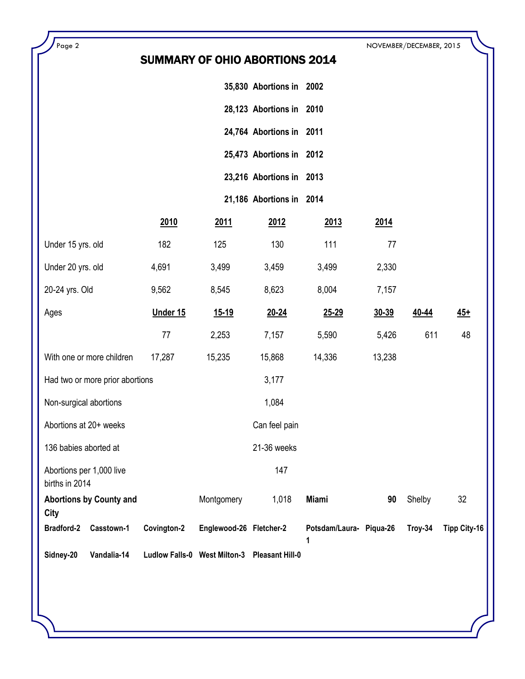| Page 2                                     |                                 | SUMMARY OF OHIO ABORTIONS 2014 |                                              |                          |                              |        | NOVEMBER/DECEMBER, 2015 |                     |
|--------------------------------------------|---------------------------------|--------------------------------|----------------------------------------------|--------------------------|------------------------------|--------|-------------------------|---------------------|
|                                            |                                 |                                |                                              | 35,830 Abortions in 2002 |                              |        |                         |                     |
|                                            |                                 |                                |                                              | 28,123 Abortions in 2010 |                              |        |                         |                     |
|                                            |                                 |                                |                                              | 24,764 Abortions in 2011 |                              |        |                         |                     |
|                                            |                                 |                                |                                              | 25,473 Abortions in 2012 |                              |        |                         |                     |
|                                            |                                 |                                |                                              | 23,216 Abortions in 2013 |                              |        |                         |                     |
|                                            |                                 |                                |                                              | 21,186 Abortions in 2014 |                              |        |                         |                     |
|                                            |                                 | 2010                           | <u>2011</u>                                  | <u>2012</u>              | 2013                         | 2014   |                         |                     |
| Under 15 yrs. old                          |                                 | 182                            | 125                                          | 130                      | 111                          | 77     |                         |                     |
| Under 20 yrs. old                          |                                 | 4,691                          | 3,499                                        | 3,459                    | 3,499                        | 2,330  |                         |                     |
| 20-24 yrs. Old                             |                                 | 9,562                          | 8,545                                        | 8,623                    | 8,004                        | 7,157  |                         |                     |
| Ages                                       |                                 | Under 15                       | <u>15-19</u>                                 | 20-24                    | 25-29                        | 30-39  | 40-44                   | $45+$               |
|                                            |                                 | 77                             | 2,253                                        | 7,157                    | 5,590                        | 5,426  | 611                     | 48                  |
|                                            | With one or more children       | 17,287                         | 15,235                                       | 15,868                   | 14,336                       | 13,238 |                         |                     |
|                                            | Had two or more prior abortions |                                |                                              | 3,177                    |                              |        |                         |                     |
| Non-surgical abortions                     |                                 |                                |                                              | 1,084                    |                              |        |                         |                     |
| Abortions at 20+ weeks                     |                                 |                                |                                              | Can feel pain            |                              |        |                         |                     |
| 136 babies aborted at                      |                                 |                                |                                              | 21-36 weeks              |                              |        |                         |                     |
| Abortions per 1,000 live<br>births in 2014 |                                 |                                |                                              | 147                      |                              |        |                         |                     |
|                                            | <b>Abortions by County and</b>  |                                | Montgomery                                   | 1,018                    | Miami                        | 90     | Shelby                  | 32                  |
| City<br><b>Bradford-2</b>                  | Casstown-1                      | Covington-2                    | Englewood-26 Fletcher-2                      |                          | Potsdam/Laura- Piqua-26<br>1 |        | Troy-34                 | <b>Tipp City-16</b> |
| Sidney-20                                  | Vandalia-14                     |                                | Ludlow Falls-0 West Milton-3 Pleasant Hill-0 |                          |                              |        |                         |                     |

Г.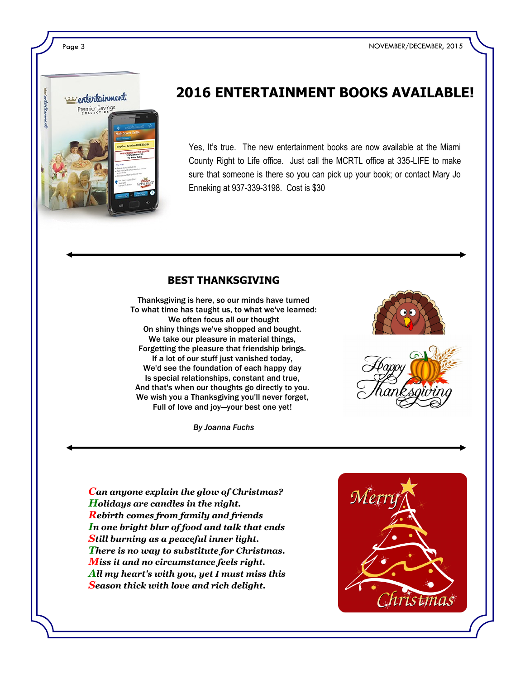Page 3 NOVEMBER/DECEMBER, 2015



# **2016 ENTERTAINMENT BOOKS AVAILABLE!**

Yes, It's true. The new entertainment books are now available at the Miami County Right to Life office. Just call the MCRTL office at 335-LIFE to make sure that someone is there so you can pick up your book; or contact Mary Jo Enneking at 937-339-3198. Cost is \$30

#### **BEST THANKSGIVING**

Thanksgiving is here, so our minds have turned To what time has taught us, to what we've learned: We often focus all our thought On shiny things we've shopped and bought. We take our pleasure in material things, Forgetting the pleasure that friendship brings. If a lot of our stuff just vanished today, We'd see the foundation of each happy day Is special relationships, constant and true, And that's when our thoughts go directly to you. We wish you a Thanksgiving you'll never forget, Full of love and joy—your best one yet!

*By Joanna Fuchs*





*Can anyone explain the glow of Christmas? Holidays are candles in the night. Rebirth comes from family and friends In one bright blur of food and talk that ends Still burning as a peaceful inner light. There is no way to substitute for Christmas. Miss it and no circumstance feels right. All my heart's with you, yet I must miss this Season thick with love and rich delight.*